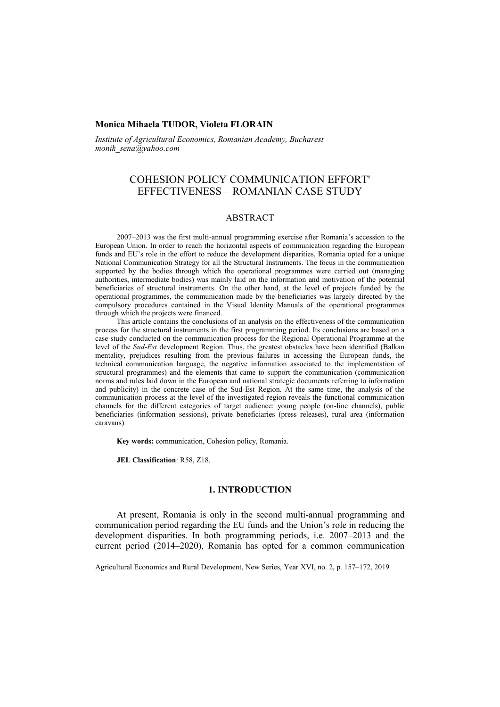# **Monica Mihaela TUDOR, Violeta FLORAIN**

*Institute of Agricultural Economics, Romanian Academy, Bucharest monik\_sena@yahoo.com*

# COHESION POLICY COMMUNICATION EFFORT' EFFECTIVENESS – ROMANIAN CASE STUDY

# **ABSTRACT**

2007–2013 was the first multi-annual programming exercise after Romania's accession to the European Union. In order to reach the horizontal aspects of communication regarding the European funds and EU's role in the effort to reduce the development disparities, Romania opted for a unique National Communication Strategy for all the Structural Instruments. The focus in the communication supported by the bodies through which the operational programmes were carried out (managing authorities, intermediate bodies) was mainly laid on the information and motivation of the potential beneficiaries of structural instruments. On the other hand, at the level of projects funded by the operational programmes, the communication made by the beneficiaries was largely directed by the compulsory procedures contained in the Visual Identity Manuals of the operational programmes through which the projects were financed.

This article contains the conclusions of an analysis on the effectiveness of the communication process for the structural instruments in the first programming period. Its conclusions are based on a case study conducted on the communication process for the Regional Operational Programme at the level of the *Sud-Est* development Region. Thus, the greatest obstacles have been identified (Balkan mentality, prejudices resulting from the previous failures in accessing the European funds, the technical communication language, the negative information associated to the implementation of structural programmes) and the elements that came to support the communication (communication norms and rules laid down in the European and national strategic documents referring to information and publicity) in the concrete case of the Sud-Est Region. At the same time, the analysis of the communication process at the level of the investigated region reveals the functional communication channels for the different categories of target audience: young people (on-line channels), public beneficiaries (information sessions), private beneficiaries (press releases), rural area (information caravans).

**Key words:** communication, Cohesion policy, Romania.

**JEL Classification**: R58, Z18.

### **1. INTRODUCTION**

At present, Romania is only in the second multi-annual programming and communication period regarding the EU funds and the Union's role in reducing the development disparities. In both programming periods, i.e. 2007–2013 and the current period (2014–2020), Romania has opted for a common communication

Agricultural Economics and Rural Development, New Series, Year XVI, no. 2, p. 157–172, 2019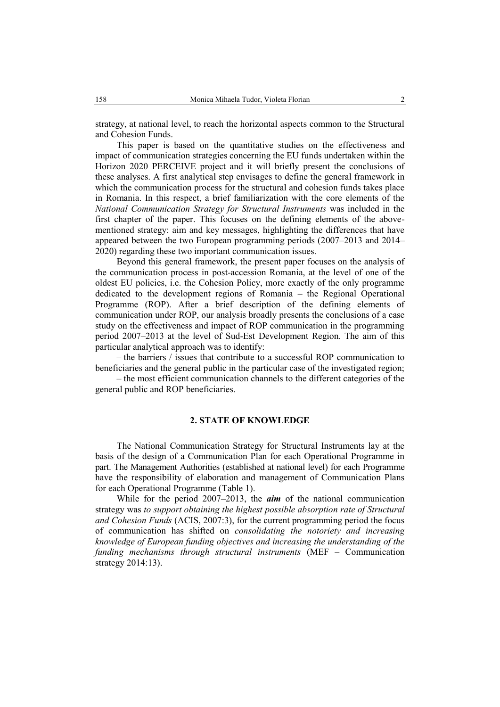strategy, at national level, to reach the horizontal aspects common to the Structural and Cohesion Funds.

This paper is based on the quantitative studies on the effectiveness and impact of communication strategies concerning the EU funds undertaken within the Horizon 2020 PERCEIVE project and it will briefly present the conclusions of these analyses. A first analytical step envisages to define the general framework in which the communication process for the structural and cohesion funds takes place in Romania. In this respect, a brief familiarization with the core elements of the *National Communication Strategy for Structural Instruments* was included in the first chapter of the paper. This focuses on the defining elements of the abovementioned strategy: aim and key messages, highlighting the differences that have appeared between the two European programming periods (2007–2013 and 2014– 2020) regarding these two important communication issues.

Beyond this general framework, the present paper focuses on the analysis of the communication process in post-accession Romania, at the level of one of the oldest EU policies, i.e. the Cohesion Policy, more exactly of the only programme dedicated to the development regions of Romania – the Regional Operational Programme (ROP). After a brief description of the defining elements of communication under ROP, our analysis broadly presents the conclusions of a case study on the effectiveness and impact of ROP communication in the programming period 2007–2013 at the level of Sud-Est Development Region. The aim of this particular analytical approach was to identify:

– the barriers / issues that contribute to a successful ROP communication to beneficiaries and the general public in the particular case of the investigated region;

– the most efficient communication channels to the different categories of the general public and ROP beneficiaries.

# **2. STATE OF KNOWLEDGE**

The National Communication Strategy for Structural Instruments lay at the basis of the design of a Communication Plan for each Operational Programme in part. The Management Authorities (established at national level) for each Programme have the responsibility of elaboration and management of Communication Plans for each Operational Programme (Table 1).

While for the period 2007–2013, the *aim* of the national communication strategy was *to support obtaining the highest possible absorption rate of Structural and Cohesion Funds* (ACIS, 2007:3), for the current programming period the focus of communication has shifted on *consolidating the notoriety and increasing knowledge of European funding objectives and increasing the understanding of the funding mechanisms through structural instruments* (MEF – Communication strategy 2014:13).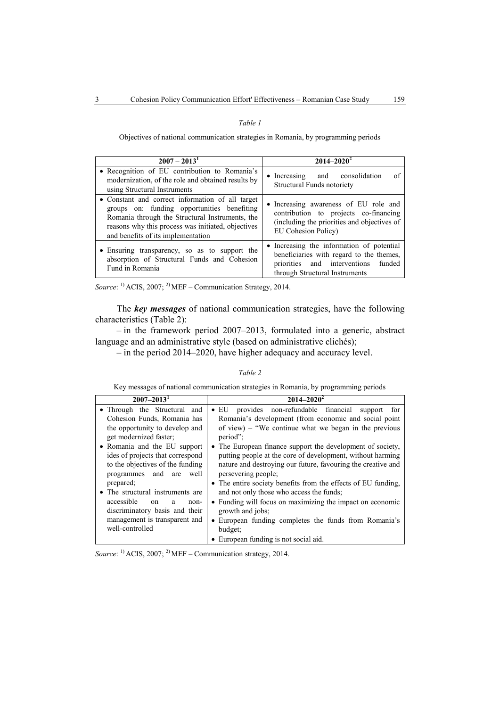### *Table 1*

Objectives of national communication strategies in Romania, by programming periods

| $2007 - 20131$                                                                                                                                                                                                                                 | $2014 - 2020^2$                                                                                                                                                |  |  |  |  |
|------------------------------------------------------------------------------------------------------------------------------------------------------------------------------------------------------------------------------------------------|----------------------------------------------------------------------------------------------------------------------------------------------------------------|--|--|--|--|
| · Recognition of EU contribution to Romania's<br>modernization, of the role and obtained results by<br>using Structural Instruments                                                                                                            | • Increasing and consolidation<br>of<br><b>Structural Funds notoriety</b>                                                                                      |  |  |  |  |
| • Constant and correct information of all target<br>groups on: funding opportunities benefiting<br>Romania through the Structural Instruments, the<br>reasons why this process was initiated, objectives<br>and benefits of its implementation | • Increasing awareness of EU role and<br>contribution to projects co-financing<br>(including the priorities and objectives of<br>EU Cohesion Policy)           |  |  |  |  |
| • Ensuring transparency, so as to support the<br>absorption of Structural Funds and Cohesion<br>Fund in Romania                                                                                                                                | • Increasing the information of potential<br>beneficiaries with regard to the themes,<br>priorities and interventions funded<br>through Structural Instruments |  |  |  |  |

*Source*: 1) ACIS, 2007; 2) MEF – Communication Strategy, 2014.

The *key messages* of national communication strategies, have the following characteristics (Table 2):

– in the framework period 2007–2013, formulated into a generic, abstract language and an administrative style (based on administrative clichés);

– in the period 2014–2020, have higher adequacy and accuracy level.

### *Table 2*

Key messages of national communication strategies in Romania, by programming periods

| $2007 - 2013$                                                                                                                                                                                                                                                                                                                                                                                                                                   | $2014 - 2020^2$                                                                                                                                                                                                                                                                                                                                                                                                                                                                                                                                                                                                                                                                  |
|-------------------------------------------------------------------------------------------------------------------------------------------------------------------------------------------------------------------------------------------------------------------------------------------------------------------------------------------------------------------------------------------------------------------------------------------------|----------------------------------------------------------------------------------------------------------------------------------------------------------------------------------------------------------------------------------------------------------------------------------------------------------------------------------------------------------------------------------------------------------------------------------------------------------------------------------------------------------------------------------------------------------------------------------------------------------------------------------------------------------------------------------|
| • Through the Structural and<br>Cohesion Funds, Romania has<br>the opportunity to develop and<br>get modernized faster;<br>• Romania and the EU support<br>ides of projects that correspond<br>to the objectives of the funding<br>programmes and are well<br>prepared;<br>• The structural instruments are<br>accessible<br><sub>on</sub><br>a<br>$non-$<br>discriminatory basis and their<br>management is transparent and<br>well-controlled | provides non-refundable financial support for<br>$\bullet$ EU<br>Romania's development (from economic and social point<br>of view) – "We continue what we began in the previous<br>period":<br>• The European finance support the development of society,<br>putting people at the core of development, without harming<br>nature and destroying our future, favouring the creative and<br>persevering people;<br>• The entire society benefits from the effects of EU funding,<br>and not only those who access the funds;<br>• Funding will focus on maximizing the impact on economic<br>growth and jobs;<br>• European funding completes the funds from Romania's<br>budget: |
|                                                                                                                                                                                                                                                                                                                                                                                                                                                 | • European funding is not social aid.                                                                                                                                                                                                                                                                                                                                                                                                                                                                                                                                                                                                                                            |

*Source*: 1) ACIS, 2007; 2) MEF – Communication strategy, 2014.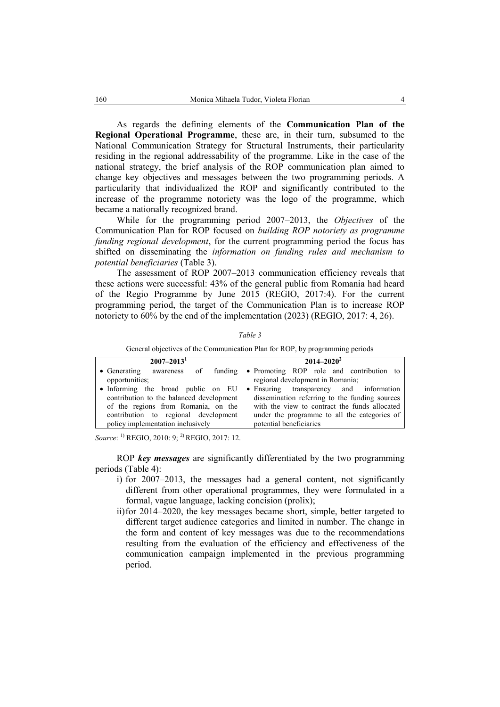As regards the defining elements of the **Communication Plan of the Regional Operational Programme**, these are, in their turn, subsumed to the National Communication Strategy for Structural Instruments, their particularity residing in the regional addressability of the programme. Like in the case of the national strategy, the brief analysis of the ROP communication plan aimed to change key objectives and messages between the two programming periods. A particularity that individualized the ROP and significantly contributed to the increase of the programme notoriety was the logo of the programme, which became a nationally recognized brand.

While for the programming period 2007–2013, the *Objectives* of the Communication Plan for ROP focused on *building ROP notoriety as programme funding regional development*, for the current programming period the focus has shifted on disseminating the *information on funding rules and mechanism to potential beneficiaries* (Table 3).

The assessment of ROP 2007–2013 communication efficiency reveals that these actions were successful: 43% of the general public from Romania had heard of the Regio Programme by June 2015 (REGIO, 2017:4). For the current programming period, the target of the Communication Plan is to increase ROP notoriety to 60% by the end of the implementation (2023) (REGIO, 2017: 4, 26).

#### *Table 3*

General objectives of the Communication Plan for ROP, by programming periods

| $2007 - 2013$ <sup>1</sup>               | $2014 - 2020^2$                                                            |  |  |  |  |  |
|------------------------------------------|----------------------------------------------------------------------------|--|--|--|--|--|
|                                          | • Generating awareness of funding • Promoting ROP role and contribution to |  |  |  |  |  |
| opportunities;                           | regional development in Romania;                                           |  |  |  |  |  |
|                                          | • Informing the broad public on EU • Ensuring transparency and information |  |  |  |  |  |
| contribution to the balanced development | dissemination referring to the funding sources                             |  |  |  |  |  |
| of the regions from Romania, on the      | with the view to contract the funds allocated                              |  |  |  |  |  |
| contribution to regional development     | under the programme to all the categories of                               |  |  |  |  |  |
| policy implementation inclusively        | potential beneficiaries                                                    |  |  |  |  |  |

*Source*: <sup>1)</sup> REGIO, 2010: 9; <sup>2)</sup> REGIO, 2017: 12.

ROP *key messages* are significantly differentiated by the two programming periods (Table 4):

- i) for 2007–2013, the messages had a general content, not significantly different from other operational programmes, they were formulated in a formal, vague language, lacking concision (prolix);
- ii)for 2014–2020, the key messages became short, simple, better targeted to different target audience categories and limited in number. The change in the form and content of key messages was due to the recommendations resulting from the evaluation of the efficiency and effectiveness of the communication campaign implemented in the previous programming period.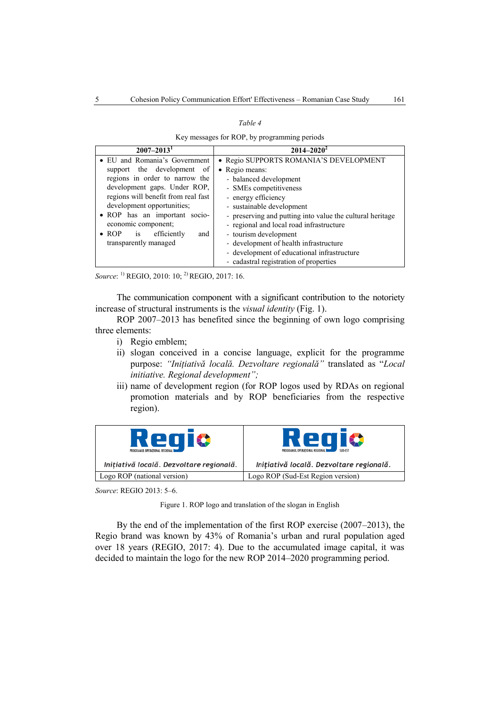#### *Table 4*

Key messages for ROP, by programming periods

| $2007 - 2013$ <sup>1</sup>             | $2014 - 2020^2$                                           |
|----------------------------------------|-----------------------------------------------------------|
| • EU and Romania's Government          | · Regio SUPPORTS ROMANIA'S DEVELOPMENT                    |
| support the development of             | • Regio means:                                            |
| regions in order to narrow the         | - balanced development                                    |
| development gaps. Under ROP,           | - SMEs competitiveness                                    |
| regions will benefit from real fast    | - energy efficiency                                       |
| development opportunities;             | - sustainable development                                 |
| • ROP has an important socio-          | - preserving and putting into value the cultural heritage |
| economic component;                    | - regional and local road infrastructure                  |
| $\bullet$ ROP is<br>efficiently<br>and | - tourism development                                     |
| transparently managed                  | - development of health infrastructure                    |
|                                        | - development of educational infrastructure               |
|                                        | - cadastral registration of properties                    |

*Source*: 1) REGIO, 2010: 10; 2) REGIO, 2017: 16.

The communication component with a significant contribution to the notoriety increase of structural instruments is the *visual identity* (Fig. 1).

ROP 2007–2013 has benefited since the beginning of own logo comprising three elements:

- i) Regio emblem;
- ii) slogan conceived in a concise language, explicit for the programme purpose: *"Inițiativă locală. Dezvoltare regională"* translated as "*Local initiative. Regional development";*
- iii) name of development region (for ROP logos used by RDAs on regional promotion materials and by ROP beneficiaries from the respective region).

| Regiø<br>PROGRAMUL OPERATIONAL REGIONAL  | Regio<br>PROGRAMUL OPERATIONAL REGIONAL<br>SUD-EST |  |  |  |  |
|------------------------------------------|----------------------------------------------------|--|--|--|--|
| Initiativă locală. Dezvoltare regională. | Initiativă locală. Dezvoltare regională.           |  |  |  |  |
| Logo ROP (national version)              | Logo ROP (Sud-Est Region version)                  |  |  |  |  |

*Source*: REGIO 2013: 5–6.

Figure 1. ROP logo and translation of the slogan in English

By the end of the implementation of the first ROP exercise (2007–2013), the Regio brand was known by 43% of Romania's urban and rural population aged over 18 years (REGIO, 2017: 4). Due to the accumulated image capital, it was decided to maintain the logo for the new ROP 2014–2020 programming period.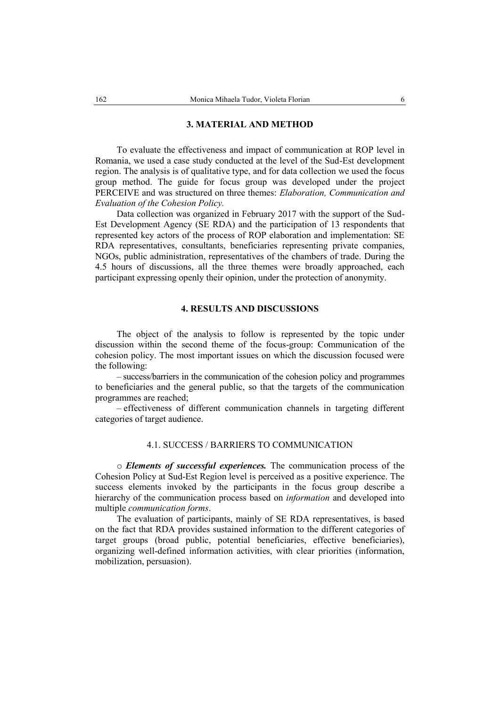### **3. MATERIAL AND METHOD**

To evaluate the effectiveness and impact of communication at ROP level in Romania, we used a case study conducted at the level of the Sud-Est development region. The analysis is of qualitative type, and for data collection we used the focus group method. The guide for focus group was developed under the project PERCEIVE and was structured on three themes: *Elaboration, Communication and Evaluation of the Cohesion Policy.*

Data collection was organized in February 2017 with the support of the Sud-Est Development Agency (SE RDA) and the participation of 13 respondents that represented key actors of the process of ROP elaboration and implementation: SE RDA representatives, consultants, beneficiaries representing private companies, NGOs, public administration, representatives of the chambers of trade. During the 4.5 hours of discussions, all the three themes were broadly approached, each participant expressing openly their opinion, under the protection of anonymity.

# **4. RESULTS AND DISCUSSIONS**

The object of the analysis to follow is represented by the topic under discussion within the second theme of the focus-group: Communication of the cohesion policy. The most important issues on which the discussion focused were the following:

– success/barriers in the communication of the cohesion policy and programmes to beneficiaries and the general public, so that the targets of the communication programmes are reached;

– effectiveness of different communication channels in targeting different categories of target audience.

# 4.1. SUCCESS / BARRIERS TO COMMUNICATION

o *Elements of successful experiences.* The communication process of the Cohesion Policy at Sud-Est Region level is perceived as a positive experience. The success elements invoked by the participants in the focus group describe a hierarchy of the communication process based on *information* and developed into multiple *communication forms*.

The evaluation of participants, mainly of SE RDA representatives, is based on the fact that RDA provides sustained information to the different categories of target groups (broad public, potential beneficiaries, effective beneficiaries), organizing well-defined information activities, with clear priorities (information, mobilization, persuasion).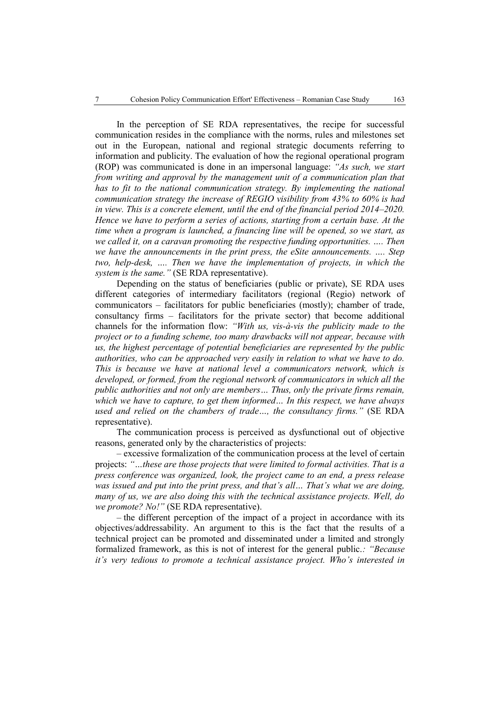In the perception of SE RDA representatives, the recipe for successful communication resides in the compliance with the norms, rules and milestones set out in the European, national and regional strategic documents referring to information and publicity. The evaluation of how the regional operational program (ROP) was communicated is done in an impersonal language: *"As such, we start from writing and approval by the management unit of a communication plan that has to fit to the national communication strategy. By implementing the national communication strategy the increase of REGIO visibility from 43% to 60% is had in view. This is a concrete element, until the end of the financial period 2014–2020. Hence we have to perform a series of actions, starting from a certain base. At the time when a program is launched, a financing line will be opened, so we start, as we called it, on a caravan promoting the respective funding opportunities. …. Then we have the announcements in the print press, the eSite announcements. …. Step two, help-desk, …. Then we have the implementation of projects, in which the system is the same."* (SE RDA representative).

Depending on the status of beneficiaries (public or private), SE RDA uses different categories of intermediary facilitators (regional (Regio) network of communicators – facilitators for public beneficiaries (mostly); chamber of trade, consultancy firms – facilitators for the private sector) that become additional channels for the information flow: *"With us, vis-à-vis the publicity made to the project or to a funding scheme, too many drawbacks will not appear, because with us, the highest percentage of potential beneficiaries are represented by the public authorities, who can be approached very easily in relation to what we have to do. This is because we have at national level a communicators network, which is developed, or formed, from the regional network of communicators in which all the public authorities and not only are members… Thus, only the private firms remain, which we have to capture, to get them informed… In this respect, we have always used and relied on the chambers of trade…, the consultancy firms."* (SE RDA representative).

The communication process is perceived as dysfunctional out of objective reasons, generated only by the characteristics of projects:

– excessive formalization of the communication process at the level of certain projects: *"…these are those projects that were limited to formal activities. That is a press conference was organized, look, the project came to an end, a press release was issued and put into the print press, and that's all… That's what we are doing, many of us, we are also doing this with the technical assistance projects. Well, do we promote? No!"* (SE RDA representative).

– the different perception of the impact of a project in accordance with its objectives/addressability. An argument to this is the fact that the results of a technical project can be promoted and disseminated under a limited and strongly formalized framework, as this is not of interest for the general public.*: "Because it's very tedious to promote a technical assistance project. Who's interested in*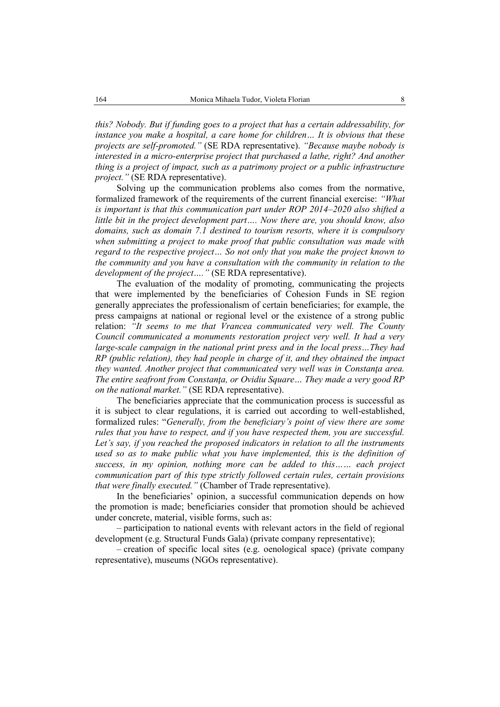*this? Nobody. But if funding goes to a project that has a certain addressability, for instance you make a hospital, a care home for children… It is obvious that these projects are self-promoted."* (SE RDA representative). *"Because maybe nobody is interested in a micro-enterprise project that purchased a lathe, right? And another thing is a project of impact, such as a patrimony project or a public infrastructure project."* (SE RDA representative).

Solving up the communication problems also comes from the normative, formalized framework of the requirements of the current financial exercise: *"What is important is that this communication part under ROP 2014–2020 also shifted a little bit in the project development part…. Now there are, you should know, also domains, such as domain 7.1 destined to tourism resorts, where it is compulsory when submitting a project to make proof that public consultation was made with regard to the respective project… So not only that you make the project known to the community and you have a consultation with the community in relation to the development of the project…."* (SE RDA representative).

The evaluation of the modality of promoting, communicating the projects that were implemented by the beneficiaries of Cohesion Funds in SE region generally appreciates the professionalism of certain beneficiaries; for example, the press campaigns at national or regional level or the existence of a strong public relation: *"It seems to me that Vrancea communicated very well. The County Council communicated a monuments restoration project very well. It had a very large-scale campaign in the national print press and in the local press…They had RP (public relation), they had people in charge of it, and they obtained the impact they wanted. Another project that communicated very well was in Constanţa area. The entire seafront from Constanţa, or Ovidiu Square… They made a very good RP on the national market."* (SE RDA representative).

The beneficiaries appreciate that the communication process is successful as it is subject to clear regulations, it is carried out according to well-established, formalized rules: "*Generally, from the beneficiary's point of view there are some rules that you have to respect, and if you have respected them, you are successful.*  Let's say, if you reached the proposed indicators in relation to all the instruments *used so as to make public what you have implemented, this is the definition of success, in my opinion, nothing more can be added to this…… each project communication part of this type strictly followed certain rules, certain provisions that were finally executed."* (Chamber of Trade representative).

In the beneficiaries' opinion, a successful communication depends on how the promotion is made; beneficiaries consider that promotion should be achieved under concrete, material, visible forms, such as:

– participation to national events with relevant actors in the field of regional development (e.g. Structural Funds Gala) (private company representative);

– creation of specific local sites (e.g. oenological space) (private company representative), museums (NGOs representative).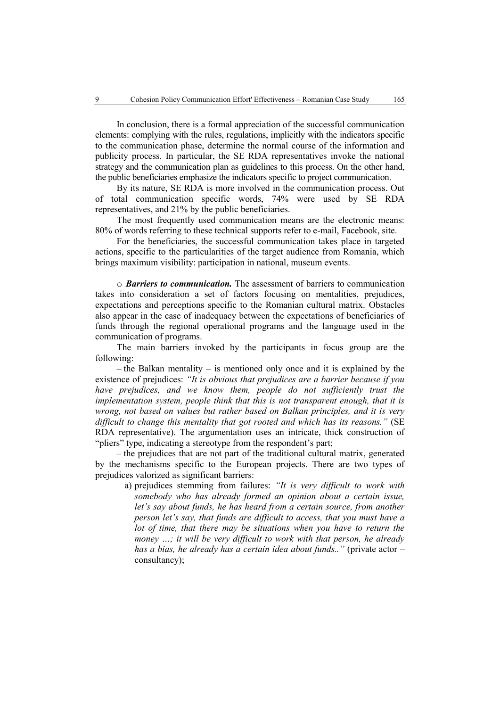In conclusion, there is a formal appreciation of the successful communication elements: complying with the rules, regulations, implicitly with the indicators specific to the communication phase, determine the normal course of the information and publicity process. In particular, the SE RDA representatives invoke the national strategy and the communication plan as guidelines to this process. On the other hand, the public beneficiaries emphasize the indicators specific to project communication.

By its nature, SE RDA is more involved in the communication process. Out of total communication specific words, 74% were used by SE RDA representatives, and 21% by the public beneficiaries.

The most frequently used communication means are the electronic means: 80% of words referring to these technical supports refer to e-mail, Facebook, site.

For the beneficiaries, the successful communication takes place in targeted actions, specific to the particularities of the target audience from Romania, which brings maximum visibility: participation in national, museum events.

o *Barriers to communication.* The assessment of barriers to communication takes into consideration a set of factors focusing on mentalities, prejudices, expectations and perceptions specific to the Romanian cultural matrix. Obstacles also appear in the case of inadequacy between the expectations of beneficiaries of funds through the regional operational programs and the language used in the communication of programs.

The main barriers invoked by the participants in focus group are the following:

 $-$  the Balkan mentality  $-$  is mentioned only once and it is explained by the existence of prejudices: *"It is obvious that prejudices are a barrier because if you have prejudices, and we know them, people do not sufficiently trust the implementation system, people think that this is not transparent enough, that it is wrong, not based on values but rather based on Balkan principles, and it is very difficult to change this mentality that got rooted and which has its reasons."* (SE RDA representative). The argumentation uses an intricate, thick construction of "pliers" type, indicating a stereotype from the respondent's part;

– the prejudices that are not part of the traditional cultural matrix, generated by the mechanisms specific to the European projects. There are two types of prejudices valorized as significant barriers:

a) prejudices stemming from failures: *"It is very difficult to work with somebody who has already formed an opinion about a certain issue, let's say about funds, he has heard from a certain source, from another person let's say, that funds are difficult to access, that you must have a lot of time, that there may be situations when you have to return the money …; it will be very difficult to work with that person, he already has a bias, he already has a certain idea about funds.."* (private actor – consultancy);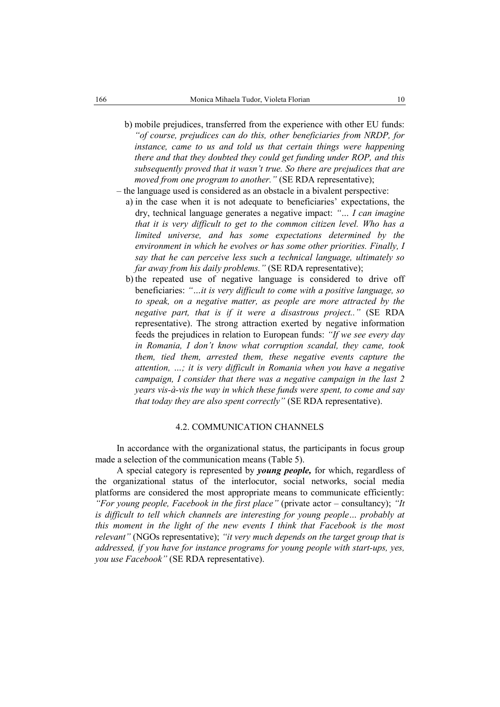- b) mobile prejudices, transferred from the experience with other EU funds: *"of course, prejudices can do this, other beneficiaries from NRDP, for instance, came to us and told us that certain things were happening there and that they doubted they could get funding under ROP, and this subsequently proved that it wasn't true. So there are prejudices that are moved from one program to another."* (SE RDA representative);
- the language used is considered as an obstacle in a bivalent perspective:
	- a) in the case when it is not adequate to beneficiaries' expectations, the dry, technical language generates a negative impact: *"… I can imagine that it is very difficult to get to the common citizen level. Who has a limited universe, and has some expectations determined by the environment in which he evolves or has some other priorities. Finally, I say that he can perceive less such a technical language, ultimately so far away from his daily problems."* (SE RDA representative);
	- b) the repeated use of negative language is considered to drive off beneficiaries: *"…it is very difficult to come with a positive language, so to speak, on a negative matter, as people are more attracted by the negative part, that is if it were a disastrous project.."* (SE RDA representative). The strong attraction exerted by negative information feeds the prejudices in relation to European funds: *"If we see every day in Romania, I don't know what corruption scandal, they came, took them, tied them, arrested them, these negative events capture the attention, …; it is very difficult in Romania when you have a negative campaign, I consider that there was a negative campaign in the last 2 years vis-à-vis the way in which these funds were spent, to come and say that today they are also spent correctly"* (SE RDA representative).

# 4.2. COMMUNICATION CHANNELS

In accordance with the organizational status, the participants in focus group made a selection of the communication means (Table 5).

A special category is represented by *young people,* for which, regardless of the organizational status of the interlocutor, social networks, social media platforms are considered the most appropriate means to communicate efficiently: *"For young people, Facebook in the first place"* (private actor – consultancy); *"It is difficult to tell which channels are interesting for young people… probably at this moment in the light of the new events I think that Facebook is the most relevant"* (NGOs representative); *"it very much depends on the target group that is addressed, if you have for instance programs for young people with start-ups, yes, you use Facebook"* (SE RDA representative).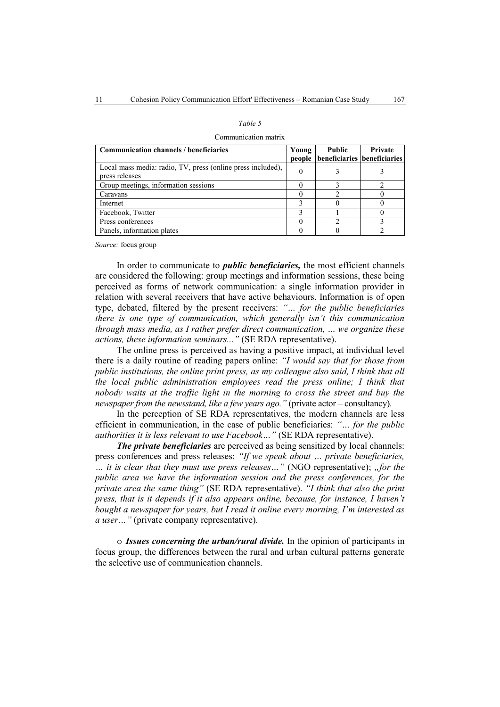| w<br>۰.<br>۰.<br>٧ |  |
|--------------------|--|
|--------------------|--|

#### Communication matrix

| <b>Communication channels / beneficiaries</b>                                 | Young | <b>Public</b><br>people beneficiaries beneficiaries | <b>Private</b> |
|-------------------------------------------------------------------------------|-------|-----------------------------------------------------|----------------|
| Local mass media: radio, TV, press (online press included),<br>press releases |       |                                                     |                |
| Group meetings, information sessions                                          |       |                                                     |                |
| Caravans                                                                      |       |                                                     |                |
| Internet                                                                      |       |                                                     |                |
| Facebook, Twitter                                                             |       |                                                     |                |
| Press conferences                                                             |       |                                                     |                |
| Panels, information plates                                                    |       |                                                     |                |

*Source:* focus group

In order to communicate to *public beneficiaries,* the most efficient channels are considered the following: group meetings and information sessions, these being perceived as forms of network communication: a single information provider in relation with several receivers that have active behaviours. Information is of open type, debated, filtered by the present receivers: *"… for the public beneficiaries there is one type of communication, which generally isn't this communication through mass media, as I rather prefer direct communication, … we organize these actions, these information seminars..."* (SE RDA representative).

The online press is perceived as having a positive impact, at individual level there is a daily routine of reading papers online: *"I would say that for those from public institutions, the online print press, as my colleague also said, I think that all the local public administration employees read the press online; I think that nobody waits at the traffic light in the morning to cross the street and buy the newspaper from the newsstand, like a few years ago."* (private actor – consultancy).

In the perception of SE RDA representatives, the modern channels are less efficient in communication, in the case of public beneficiaries: *"… for the public authorities it is less relevant to use Facebook…"* (SE RDA representative).

*The private beneficiaries* are perceived as being sensitized by local channels: press conferences and press releases: *"If we speak about … private beneficiaries, … it is clear that they must use press releases…"* (NGO representative); *"for the public area we have the information session and the press conferences, for the private area the same thing"* (SE RDA representative). *"I think that also the print press, that is it depends if it also appears online, because, for instance, I haven't bought a newspaper for years, but I read it online every morning, I'm interested as a user…"* (private company representative).

o *Issues concerning the urban/rural divide.* In the opinion of participants in focus group, the differences between the rural and urban cultural patterns generate the selective use of communication channels.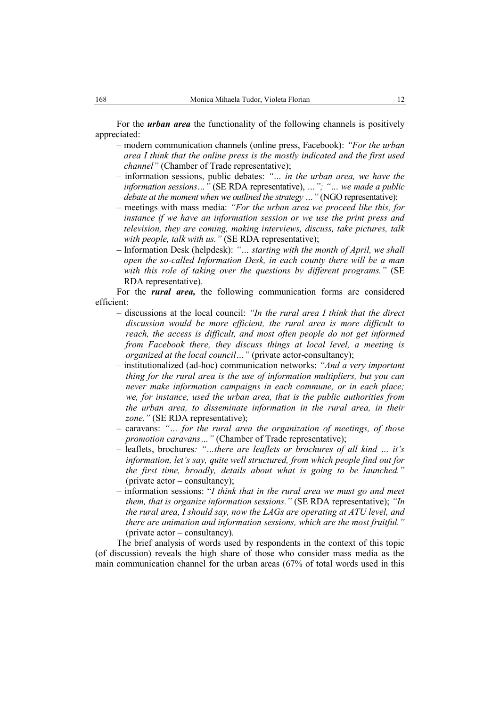For the *urban area* the functionality of the following channels is positively appreciated:

- modern communication channels (online press, Facebook): *"For the urban area I think that the online press is the mostly indicated and the first used channel"* (Chamber of Trade representative);
- information sessions, public debates: *"… in the urban area, we have the information sessions…"* (SE RDA representative), *…"; "… we made a public debate at the moment when we outlined the strategy ...* " (NGO representative);
- meetings with mass media: *"For the urban area we proceed like this, for instance if we have an information session or we use the print press and television, they are coming, making interviews, discuss, take pictures, talk with people, talk with us."* (SE RDA representative);
- Information Desk (helpdesk): *"… starting with the month of April, we shall open the so-called Information Desk, in each county there will be a man with this role of taking over the questions by different programs."* (SE RDA representative).

For the *rural area,* the following communication forms are considered efficient:

- discussions at the local council: *"In the rural area I think that the direct discussion would be more efficient, the rural area is more difficult to reach, the access is difficult, and most often people do not get informed from Facebook there, they discuss things at local level, a meeting is organized at the local council…"* (private actor-consultancy);
- institutionalized (ad-hoc) communication networks: *"And a very important thing for the rural area is the use of information multipliers, but you can never make information campaigns in each commune, or in each place; we, for instance, used the urban area, that is the public authorities from the urban area, to disseminate information in the rural area, in their zone."* (SE RDA representative);
- caravans: *"… for the rural area the organization of meetings, of those promotion caravans…"* (Chamber of Trade representative);
- leaflets, brochures*: "…there are leaflets or brochures of all kind … it's information, let's say, quite well structured, from which people find out for the first time, broadly, details about what is going to be launched."* (private actor – consultancy);
- information sessions: "*I think that in the rural area we must go and meet them, that is organize information sessions."* (SE RDA representative); *"In the rural area, I should say, now the LAGs are operating at ATU level, and there are animation and information sessions, which are the most fruitful."*  (private actor – consultancy).

The brief analysis of words used by respondents in the context of this topic (of discussion) reveals the high share of those who consider mass media as the main communication channel for the urban areas (67% of total words used in this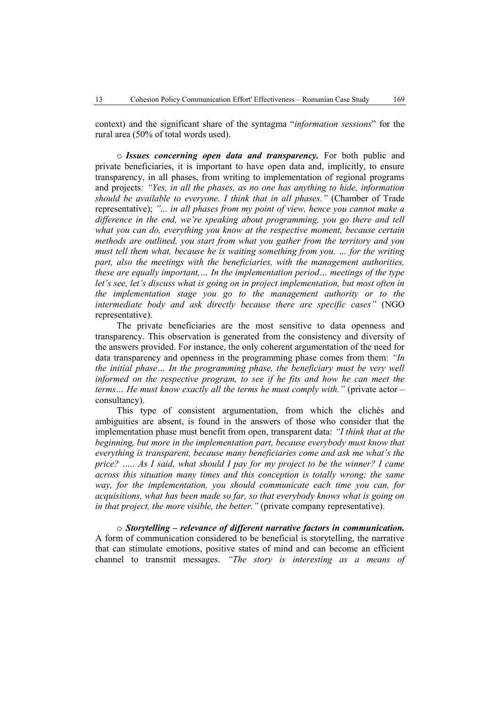context) and the significant share of the syntagma "*information sessions*" for the rural area (50% of total words used).

o *Issues concerning open data and transparency.* For both public and private beneficiaries, it is important to have open data and, implicitly, to ensure transparency, in all phases, from writing to implementation of regional programs and projects*: "Yes, in all the phases, as no one has anything to hide, information should be available to everyone. I think that in all phases."* (Chamber of Trade representative); *"... in all phases from my point of view, hence you cannot make a difference in the end, we're speaking about programming, you go there and tell what you can do, everything you know at the respective moment, because certain methods are outlined, you start from what you gather from the territory and you must tell them what, because he is waiting something from you. … for the writing part, also the meetings with the beneficiaries, with the management authorities, these are equally important,… In the implementation period… meetings of the type let's see, let's discuss what is going on in project implementation, but most often in the implementation stage you go to the management authority or to the intermediate body and ask directly because there are specific cases"* (NGO representative).

The private beneficiaries are the most sensitive to data openness and transparency. This observation is generated from the consistency and diversity of the answers provided. For instance, the only coherent argumentation of the need for data transparency and openness in the programming phase comes from them: *"In the initial phase… In the programming phase, the beneficiary must be very well informed on the respective program, to see if he fits and how he can meet the terms… He must know exactly all the terms he must comply with."* (private actor – consultancy).

This type of consistent argumentation, from which the clichés and ambiguities are absent, is found in the answers of those who consider that the implementation phase must benefit from open, transparent data: *"I think that at the beginning, but more in the implementation part, because everybody must know that everything is transparent, because many beneficiaries come and ask me what's the price? ….. As I said, what should I pay for my project to be the winner? I came across this situation many times and this conception is totally wrong; the same way, for the implementation, you should communicate each time you can, for acquisitions, what has been made so far, so that everybody knows what is going on in that project, the more visible, the better."* (private company representative).

o *Storytelling – relevance of different narrative factors in communication.*  A form of communication considered to be beneficial is storytelling, the narrative that can stimulate emotions, positive states of mind and can become an efficient channel to transmit messages. *"The story is interesting as a means of*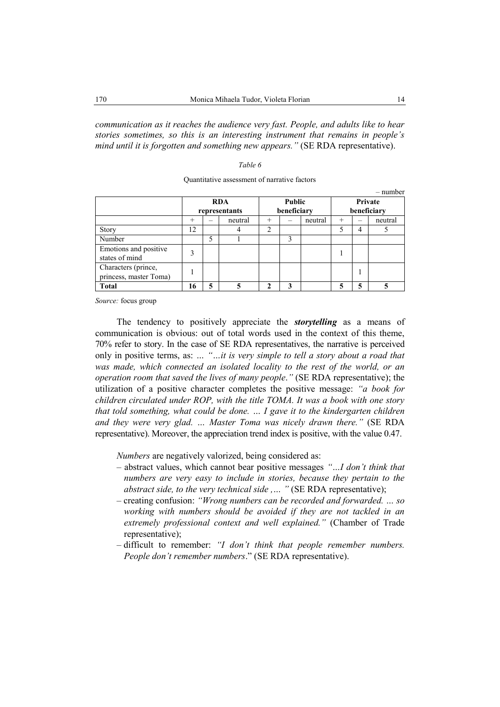*communication as it reaches the audience very fast. People, and adults like to hear stories sometimes, so this is an interesting instrument that remains in people's mind until it is forgotten and something new appears."* (SE RDA representative).

#### *Table 6*

|                        |            |               |               |                |             |         |             |   | $-$ number |
|------------------------|------------|---------------|---------------|----------------|-------------|---------|-------------|---|------------|
|                        | <b>RDA</b> |               | <b>Public</b> |                | Private     |         |             |   |            |
|                        |            | representants |               |                | beneficiary |         | beneficiary |   |            |
|                        | $^{+}$     |               | neutral       | $^{+}$         |             | neutral | $^{+}$      | — | neutral    |
| Story                  | 12         |               |               | $\overline{2}$ |             |         |             | 4 |            |
| Number                 |            | 5             |               |                | 3           |         |             |   |            |
| Emotions and positive  | 3          |               |               |                |             |         |             |   |            |
| states of mind         |            |               |               |                |             |         |             |   |            |
| Characters (prince,    |            |               |               |                |             |         |             |   |            |
| princess, master Toma) |            |               |               |                |             |         |             |   |            |
| Total                  | 16         | 5             | 5             |                |             |         |             | 5 | 5          |

| Quantitative assessment of narrative factors |  |  |
|----------------------------------------------|--|--|
|----------------------------------------------|--|--|

*Source:* focus group

The tendency to positively appreciate the *storytelling* as a means of communication is obvious: out of total words used in the context of this theme, 70% refer to story. In the case of SE RDA representatives, the narrative is perceived only in positive terms, as: *… "…it is very simple to tell a story about a road that was made, which connected an isolated locality to the rest of the world, or an operation room that saved the lives of many people*.*"* (SE RDA representative); the utilization of a positive character completes the positive message: *"a book for children circulated under ROP, with the title TOMA. It was a book with one story that told something, what could be done. … I gave it to the kindergarten children and they were very glad. … Master Toma was nicely drawn there."* (SE RDA representative). Moreover, the appreciation trend index is positive, with the value 0.47.

*Numbers* are negatively valorized, being considered as:

- abstract values, which cannot bear positive messages *"…I don't think that numbers are very easy to include in stories, because they pertain to the abstract side, to the very technical side ,… "* (SE RDA representative);
- creating confusion: *"Wrong numbers can be recorded and forwarded. … so working with numbers should be avoided if they are not tackled in an extremely professional context and well explained."* (Chamber of Trade representative);
- difficult to remember: *"I don't think that people remember numbers. People don't remember numbers*." (SE RDA representative).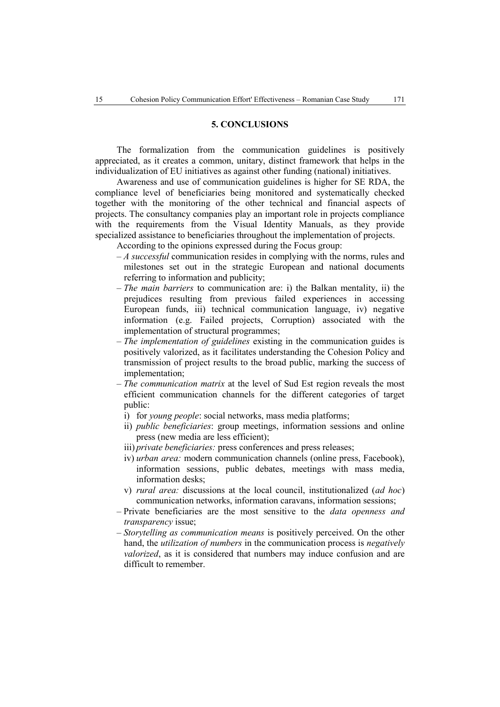### **5. CONCLUSIONS**

The formalization from the communication guidelines is positively appreciated, as it creates a common, unitary, distinct framework that helps in the individualization of EU initiatives as against other funding (national) initiatives.

Awareness and use of communication guidelines is higher for SE RDA, the compliance level of beneficiaries being monitored and systematically checked together with the monitoring of the other technical and financial aspects of projects. The consultancy companies play an important role in projects compliance with the requirements from the Visual Identity Manuals, as they provide specialized assistance to beneficiaries throughout the implementation of projects.

According to the opinions expressed during the Focus group:

- *A successful* communication resides in complying with the norms, rules and milestones set out in the strategic European and national documents referring to information and publicity;
- *The main barriers* to communication are: i) the Balkan mentality, ii) the prejudices resulting from previous failed experiences in accessing European funds, iii) technical communication language, iv) negative information (e.g. Failed projects, Corruption) associated with the implementation of structural programmes;
- *The implementation of guidelines* existing in the communication guides is positively valorized, as it facilitates understanding the Cohesion Policy and transmission of project results to the broad public, marking the success of implementation;
- *The communication matrix* at the level of Sud Est region reveals the most efficient communication channels for the different categories of target public:
	- i) for *young people*: social networks, mass media platforms;
	- ii) *public beneficiaries*: group meetings, information sessions and online press (new media are less efficient);
	- iii) *private beneficiaries:* press conferences and press releases;
	- iv) *urban area:* modern communication channels (online press, Facebook), information sessions, public debates, meetings with mass media, information desks;
	- v) *rural area:* discussions at the local council, institutionalized (*ad hoc*) communication networks, information caravans, information sessions;
- Private beneficiaries are the most sensitive to the *data openness and transparency* issue;
- *Storytelling as communication means* is positively perceived. On the other hand, the *utilization of numbers* in the communication process is *negatively valorized*, as it is considered that numbers may induce confusion and are difficult to remember.